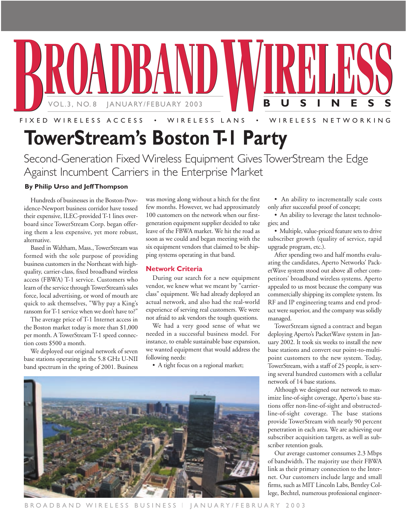

**TowerStream's Boston T-1 Party**

Second-Generation Fixed Wireless Equipment Gives TowerStream the Edge Against Incumbent Carriers in the Enterprise Market

### **By Philip Urso and Jeff Thompson**

Hundreds of businesses in the Boston-Providence-Newport business corridor have tossed their expensive, ILEC-provided T-1 lines overboard since TowerStream Corp. began offering them a less expensive, yet more robust, alternative.

Based in Waltham, Mass., TowerStream was formed with the sole purpose of providing business customers in the Northeast with highquality, carrier-class, fixed broadband wireless access (FBWA) T-1 service. Customers who learn of the service through TowerStream's sales force, local advertising, or word of mouth are quick to ask themselves, "Why pay a King's ransom for T-1 service when we don't have to?"

The average price of T-1 Internet access in the Boston market today is more than \$1,000 per month. A TowerStream T-1 speed connection costs \$500 a month.

We deployed our original network of seven base stations operating in the 5.8 GHz U-NII band spectrum in the spring of 2001. Business

was moving along without a hitch for the first few months. However, we had approximately 100 customers on the network when our firstgeneration equipment supplier decided to take leave of the FBWA market. We hit the road as soon as we could and began meeting with the six equipment vendors that claimed to be shipping systems operating in that band.

### **Network Criteria**

During our search for a new equipment vendor, we knew what we meant by "carrierclass" equipment. We had already deployed an actual network, and also had the real-world experience of serving real customers. We were not afraid to ask vendors the tough questions.

We had a very good sense of what we needed in a successful business model. For instance, to enable sustainable base expansion, we wanted equipment that would address the following needs:

• A tight focus on a regional market;



• An ability to incrementally scale costs only after successful proof of concept;

• An ability to leverage the latest technologies; and

• Multiple, value-priced feature sets to drive subscriber growth (quality of service, rapid upgrade program, etc.).

After spending two and half months evaluating the candidates, Aperto Networks' PacketWave system stood out above all other competitors' broadband wireless systems. Aperto appealed to us most because the company was commercially shipping its complete system. Its RF and IP engineering teams and end product were superior, and the company was solidly managed.

TowerStream signed a contract and began deploying Aperto's PacketWave system in January 2002. It took six weeks to install the new base stations and convert our point-to-multipoint customers to the new system. Today, TowerStream, with a staff of 25 people, is serving several hundred customers with a cellular network of 14 base stations.

Although we designed our network to maximize line-of-sight coverage, Aperto's base stations offer non-line-of-sight and obstructedline-of-sight coverage. The base stations provide TowerStream with nearly 90 percent penetration in each area. We are achieving our subscriber acquisition targets, as well as subscriber retention goals.

Our average customer consumes 2.3 Mbps of bandwidth. The majority use their FBWA link as their primary connection to the Internet. Our customers include large and small firms, such as MIT Lincoln Labs, Bentley College, Bechtel, numerous professional engineer-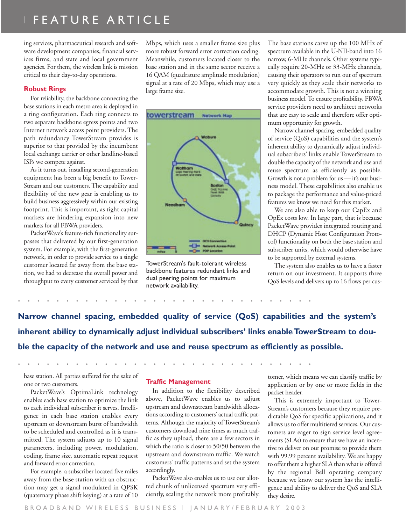## | FEATURE ARTICLE

ing services, pharmaceutical research and software development companies, financial services firms, and state and local government agencies. For them, the wireless link is mission critical to their day-to-day operations.

#### **Robust Rings**

For reliability, the backbone connecting the base stations in each metro area is deployed in a ring configuration. Each ring connects to two separate backbone egress points and two Internet network access point providers. The path redundancy TowerStream provides is superior to that provided by the incumbent local exchange carrier or other landline-based ISPs we compete against.

As it turns out, installing second-generation equipment has been a big benefit to Tower-Stream and our customers. The capability and flexibility of the new gear is enabling us to build business aggressively within our existing footprint. This is important, as tight capital markets are hindering expansion into new markets for all FBWA providers.

PacketWave's feature-rich functionality surpasses that delivered by our first-generation system. For example, with the first-generation network, in order to provide service to a single customer located far away from the base station, we had to decrease the overall power and throughput to every customer serviced by that Mbps, which uses a smaller frame size plus more robust forward error correction coding. Meanwhile, customers located closer to the base station and in the same sector receive a 16 QAM (quadrature amplitude modulation) signal at a rate of 20 Mbps, which may use a large frame size.



TowerStream's fault-tolerant wireless backbone features redundant links and dual peering points for maximum network availability.

The base stations carve up the 100 MHz of spectrum available in the U-NII-band into 16 narrow, 6-MHz channels. Other systems typically require 20-MHz or 33-MHz channels, causing their operators to run out of spectrum very quickly as they scale their networks to accommodate growth. This is not a winning business model. To ensure profitability, FBWA service providers need to architect networks that are easy to scale and therefore offer optimum opportunity for growth.

Narrow channel spacing, embedded quality of service (QoS) capabilities and the system's inherent ability to dynamically adjust individual subscribers' links enable TowerStream to double the capacity of the network and use and reuse spectrum as efficiently as possible. Growth is not a problem for us — it's our business model. These capabilities also enable us to package the performance and value-priced features we know we need for this market.

We are also able to keep our CapEx and OpEx costs low. In large part, that is because PacketWave provides integrated routing and DHCP (Dynamic Host Configuration Protocol) functionality on both the base station and subscriber units, which would otherwise have to be supported by external systems.

The system also enables us to have a faster return on our investment. It supports three QoS levels and delivers up to 16 flows per cus-

**Narrow channel spacing, embedded quality of service (QoS) capabilities and the system's inherent ability to dynamically adjust individual subscribers' links enable TowerStream to double the capacity of the network and use and reuse spectrum as efficiently as possible.**

base station. All parties suffered for the sake of one or two customers.

PacketWave's OptimaLink technology enables each base station to optimize the link to each individual subscriber it serves. Intelligence in each base station enables every upstream or downstream burst of bandwidth to be scheduled and controlled as it is transmitted. The system adjusts up to 10 signal parameters, including power, modulation, coding, frame size, automatic repeat request and forward error correction.

For example, a subscriber located five miles away from the base station with an obstruction may get a signal modulated in QPSK (quaternary phase shift keying) at a rate of 10

### **Traffic Management**

**...............................**

**...............................**

In addition to the flexibility described above, PacketWave enables us to adjust upstream and downstream bandwidth allocations according to customers' actual traffic patterns. Although the majority of TowerStream's customers download nine times as much traffic as they upload, there are a few sectors in which the ratio is closer to 50/50 between the upstream and downstream traffic. We watch customers' traffic patterns and set the system accordingly.

PacketWave also enables us to use our allotted chunk of unlicensed spectrum very efficiently, scaling the network more profitably. tomer, which means we can classify traffic by application or by one or more fields in the packet header.

This is extremely important to Tower-Stream's customers because they require predictable QoS for specific applications, and it allows us to offer multitiered services. Our customers are eager to sign service level agreements (SLAs) to ensure that we have an incentive to deliver on our promise to provide them with 99.99 percent availability. We are happy to offer them a higher SLA than what is offered by the regional Bell operating company because we know our system has the intelligence and ability to deliver the QoS and SLA they desire.